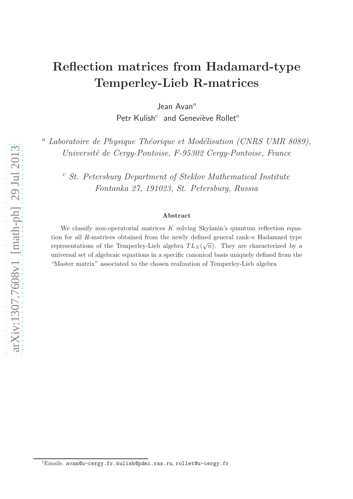# Reflection matrices from Hadamard-type Temperley-Lieb R-matrices

Jean Avan $^a$ 

Petr Kulish<sup>c</sup> and Geneviève Rollet<sup>a</sup>

<sup>a</sup> Laboratoire de Physique Théorique et Modélisation (CNRS UMR 8089), Université de Cergy-Pontoise, F-95302 Cergy-Pontoise, France

<sup>c</sup> St. Petersburg Department of Steklov Mathematical Institute Fontanka 27, 191023, St. Petersburg, Russia

#### Abstract

We classify non-operatorial matrices  $K$  solving Skylanin's quantum reflection equation for all R-matrices obtained from the newly defined general rank-n Hadamard type representations of the Temperley-Lieb algebra  $TL_N(\sqrt{n})$ . They are characterized by a universal set of algebraic equations in a specific canonical basis uniquely defined from the "Master matrix" associated to the chosen realization of Temperley-Lieb algebra

 $1$ Emails: avan@u-cergy.fr, kulish@pdmi.ras.ru, rollet@u-cergy.fr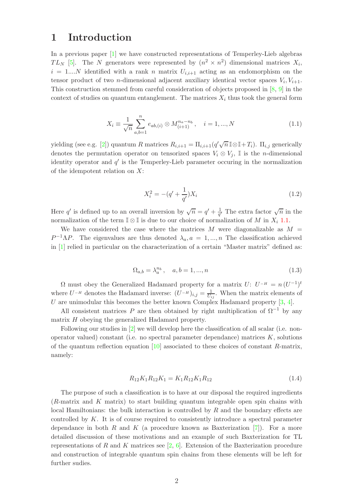### 1 Introduction

In a previous paper [\[1\]](#page-8-0) we have constructed representations of Temperley-Lieb algebras  $TL_N$  [\[5\]](#page-8-1). The N generators were represented by  $(n^2 \times n^2)$  dimensional matrices  $X_i$ ,  $i = 1...N$  identified with a rank n matrix  $U_{i,i+1}$  acting as an endomorphism on the tensor product of two *n*-dimensional adjacent auxiliary identical vector spaces  $V_i, V_{i+1}$ . This construction stemmed from careful consideration of objects proposed in [\[8,](#page-8-2) [9\]](#page-8-3) in the context of studies on quantum entanglement. The matrices  $X_i$  thus took the general form

<span id="page-1-0"></span>
$$
X_i \equiv \frac{1}{\sqrt{n}} \sum_{a,b=1}^n e_{ab,(i)} \otimes M_{(i+1)}^{n_a - n_b}, \quad i = 1, ..., N
$$
 (1.1)

yielding (see e.g. [\[2\]](#page-8-4)) quantum R matrices  $R_{i,i+1} = \Pi_{i,i+1}(q'\sqrt{n} \mathbb{I} \otimes \mathbb{I} + T_i)$ .  $\Pi_{i,j}$  generically denotes the permutation operator on tensorized spaces  $V_i \otimes V_j$ , I is the *n*-dimensional identity operator and  $q'$  is the Temperley-Lieb parameter occuring in the normalization of the idempotent relation on  $X$ :

$$
X_i^2 = -(q' + \frac{1}{q'})X_i
$$
\n(1.2)

Here q' is defined up to an overall inversion by  $\sqrt{n} = q' + \frac{1}{q'}$  $\frac{1}{q'}$  The extra factor  $\sqrt{n}$  in the normalization of the term  $\mathbb{I} \otimes \mathbb{I}$  is due to our choice of normalization of M in  $X_i$  [1.1.](#page-1-0)

We have considered the case where the matrices  $M$  were diagonalizable as  $M =$  $P^{-1}\Lambda P$ . The eigenvalues are thus denoted  $\lambda_a$ ,  $a = 1,...,n$  The classification achieved in [\[1\]](#page-8-0) relied in particular on the characterization of a certain "Master matrix" defined as:

<span id="page-1-2"></span>
$$
\Omega_{a,b} = \lambda_a^{n_b}, \quad a, b = 1, ..., n
$$
\n(1.3)

 $\Omega$  must obey the Generalized Hadamard property for a matrix  $U: U^{-H} = n (U^{-1})^t$ where  $U^{-H}$  denotes the Hadamard inverse:  $(U^{-H})_{i,j} = \frac{1}{U_i}$  $\frac{1}{U_{ij}}$ . When the matrix elements of U are unimodular this becomes the better known Complex Hadamard property  $[3, 4]$  $[3, 4]$ .

All consistent matrices P are then obtained by right multiplication of  $\Omega^{-1}$  by any matrix H obeying the generalized Hadamard property.

Following our studies in  $[2]$  we will develop here the classification of all scalar (i.e. nonoperator valued) constant (i.e. no spectral parameter dependance) matrices  $K$ , solutions of the quantum reflection equation  $[10]$  associated to these choices of constant R-matrix, namely:

<span id="page-1-1"></span>
$$
R_{12}K_1R_{12}K_1 = K_1R_{12}K_1R_{12}
$$
\n
$$
(1.4)
$$

The purpose of such a classification is to have at our disposal the required ingredients (R-matrix and K matrix) to start building quantum integrable open spin chains with local Hamiltonians: the bulk interaction is controlled by  $R$  and the boundary effects are controlled by K. It is of course required to consistently introduce a spectral parameter dependance in both R and K (a procedure known as Baxterization  $[7]$ ). For a more detailed discussion of these motivations and an example of such Baxterization for TL representations of R and K matrices see  $[2, 6]$  $[2, 6]$ . Extension of the Baxterization procedure and construction of integrable quantum spin chains from these elements will be left for further sudies.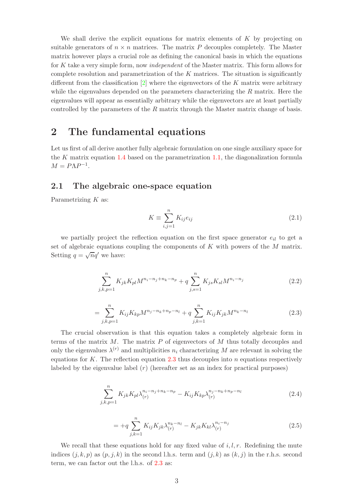We shall derive the explicit equations for matrix elements of  $K$  by projecting on suitable generators of  $n \times n$  matrices. The matrix P decouples completely. The Master matrix however plays a crucial role as defining the canonical basis in which the equations for K take a very simple form, now *independent* of the Master matrix. This form allows for complete resolution and parametrization of the  $K$  matrices. The situation is significantly different from the classification  $[2]$  where the eigenvectors of the K matrix were arbitrary while the eigenvalues depended on the parameters characterizing the  $R$  matrix. Here the eigenvalues will appear as essentially arbitrary while the eigenvectors are at least partially controlled by the parameters of the R matrix through the Master matrix change of basis.

### 2 The fundamental equations

Let us first of all derive another fully algebraic formulation on one single auxiliary space for the K matrix equation [1.4](#page-1-1) based on the parametrization [1.1,](#page-1-0) the diagonalization formula  $M = P\Lambda P^{-1}.$ 

### 2.1 The algebraic one-space equation

Parametrizing  $K$  as:

$$
K \equiv \sum_{i,j=1}^{n} K_{ij} e_{ij}
$$
 (2.1)

we partially project the reflection equation on the first space generator  $e_{il}$  to get a set of algebraic equations coupling the components of K with powers of the M matrix. Setting  $q = \sqrt{n}q'$  we have:

$$
\sum_{j,k,p=1}^{n} K_{jk} K_{pl} M^{n_i - n_j + n_k - n_p} + q \sum_{j,s=1}^{n} K_{js} K_{sl} M^{n_i - n_j}
$$
 (2.2)

<span id="page-2-0"></span>
$$
= \sum_{j,k,p=1}^{n} K_{ij} K_{kp} M^{n_j - n_k + n_p - n_l} + q \sum_{j,k=1}^{n} K_{ij} K_{jk} M^{n_k - n_l}
$$
(2.3)

The crucial observation is that this equation takes a completely algebraic form in terms of the matrix  $M$ . The matrix  $P$  of eigenvectors of  $M$  thus totally decouples and only the eigenvalues  $\lambda^{(r)}$  and multiplicities  $n_i$  characterizing M are relevant in solving the equations for K. The reflection equation  $2.3$  thus decouples into n equations respectively labeled by the eigenvalue label  $(r)$  (hereafter set as an index for practical purposes)

$$
\sum_{j,k,p=1}^{n} K_{jk} K_{pl} \lambda_{(r)}^{n_i - n_j + n_k - n_p} - K_{ij} K_{kp} \lambda_{(r)}^{n_j - n_k + n_p - n_l}
$$
 (2.4)

$$
= +q \sum_{j,k=1}^{n} K_{ij} K_{jk} \lambda_{(r)}^{n_k - n_l} - K_{jk} K_{kl} \lambda_{(r)}^{n_i - n_j}
$$
\n(2.5)

We recall that these equations hold for any fixed value of  $i, l, r$ . Redefining the mute indices  $(j, k, p)$  as  $(p, j, k)$  in the second l.h.s. term and  $(j, k)$  as  $(k, j)$  in the r.h.s. second term, we can factor out the l.h.s. of [2.3](#page-2-0) as: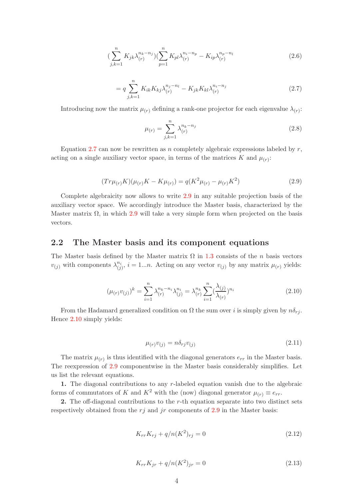$$
\left(\sum_{j,k=1}^{n} K_{jk} \lambda_{(r)}^{n_k - n_j}\right) \left(\sum_{p=1}^{n} K_{pl} \lambda_{(r)}^{n_i - n_p} - K_{ip} \lambda_{(r)}^{n_p - n_l}\right) \tag{2.6}
$$

<span id="page-3-0"></span>
$$
= q \sum_{j,k=1}^{n} K_{ik} K_{kj} \lambda_{(r)}^{n_j - n_l} - K_{jk} K_{kl} \lambda_{(r)}^{n_i - n_j}
$$
 (2.7)

Introducing now the matrix  $\mu(r)$  defining a rank-one projector for each eigenvalue  $\lambda(r)$ :

$$
\mu_{(r)} = \sum_{j,k=1}^{n} \lambda_{(r)}^{n_k - n_j} \tag{2.8}
$$

Equation [2.7](#page-3-0) can now be rewritten as n completely algebraic expressions labeled by  $r$ , acting on a single auxiliary vector space, in terms of the matrices K and  $\mu(r)$ :

<span id="page-3-1"></span>
$$
(Tr\mu_{(r)}K)(\mu_{(r)}K - K\mu_{(r)}) = q(K^2\mu_{(r)} - \mu_{(r)}K^2)
$$
\n(2.9)

Complete algebraicity now allows to write [2.9](#page-3-1) in any suitable projection basis of the auxiliary vector space. We accordingly introduce the Master basis, characterized by the Master matrix  $\Omega$ , in which [2.9](#page-3-1) will take a very simple form when projected on the basis vectors.

#### 2.2 The Master basis and its component equations

The Master basis defined by the Master matrix  $\Omega$  in [1.3](#page-1-2) consists of the *n* basis vectors  $v_{(j)}$  with components  $\lambda_{(i)}^{n_i}$  $\begin{aligned} n_i^{i} & i = 1...n. \text{ Acting on any vector } v_{(j)} \text{ by any matrix } \mu_{(r)} \text{ yields:} \end{aligned}$ 

<span id="page-3-2"></span>
$$
(\mu_{(r)}v_{(j)})^k = \sum_{i=1}^n \lambda_{(r)}^{n_k - n_i} \lambda_{(j)}^{n_i} = \lambda_{(r)}^{n_k} \sum_{i=1}^n (\frac{\lambda_{(j)}}{\lambda_{(r)}})^{n_i}
$$
(2.10)

From the Hadamard generalized condition on  $\Omega$  the sum over i is simply given by  $n\delta_{ri}$ . Hence [2.10](#page-3-2) simply yields:

$$
\mu_{(r)}v_{(j)} = n\delta_{rj}v_{(j)}\tag{2.11}
$$

The matrix  $\mu(r)$  is thus identified with the diagonal generators  $e_{rr}$  in the Master basis. The reexpression of [2.9](#page-3-1) componentwise in the Master basis considerably simplifies. Let us list the relevant equations.

1. The diagonal contributions to any  $r$ -labeled equation vanish due to the algebraic forms of commutators of K and  $K^2$  with the (now) diagonal generator  $\mu_{(r)} \equiv e_{rr}$ .

2. The off-diagonal contributions to the r-th equation separate into two distinct sets respectively obtained from the  $r_j$  and jr components of [2.9](#page-3-1) in the Master basis:

$$
K_{rr}K_{rj} + q/n(K^2)_{rj} = 0
$$
\n(2.12)

$$
K_{rr}K_{jr} + q/n(K^2)_{jr} = 0
$$
\n(2.13)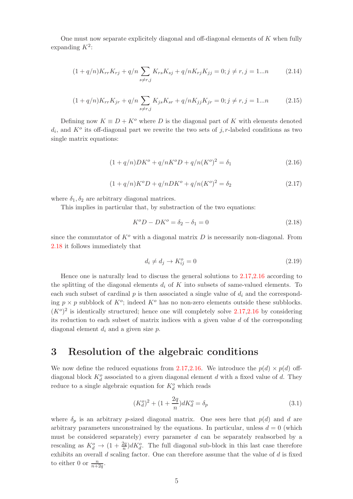One must now separate explicitely diagonal and off-diagonal elements of  $K$  when fully expanding  $K^2$ :

$$
(1 + q/n)K_{rr}K_{rj} + q/n \sum_{s \neq r,j} K_{rs}K_{sj} + q/nK_{rj}K_{jj} = 0; j \neq r, j = 1...n
$$
 (2.14)

$$
(1 + q/n)K_{rr}K_{jr} + q/n \sum_{s \neq r,j} K_{js}K_{sr} + q/nK_{jj}K_{jr} = 0; j \neq r, j = 1...n
$$
 (2.15)

Defining now  $K \equiv D + K^{\circ}$  where D is the diagonal part of K with elements denoted  $d_i$ , and  $K^o$  its off-diagonal part we rewrite the two sets of j, r-labeled conditions as two single matrix equations:

<span id="page-4-2"></span>
$$
(1 + q/n)DK^{o} + q/nK^{o}D + q/n(K^{o})^{2} = \delta_{1}
$$
\n(2.16)

<span id="page-4-1"></span>
$$
(1 + q/n)K^{o}D + q/nDK^{o} + q/n(K^{o})^{2} = \delta_{2}
$$
\n(2.17)

where  $\delta_1, \delta_2$  are arbitrary diagonal matrices.

This implies in particular that, by substraction of the two equations:

<span id="page-4-0"></span>
$$
K^{o}D - DK^{o} = \delta_2 - \delta_1 = 0
$$
\n(2.18)

since the commutator of  $K^o$  with a diagonal matrix D is necessarily non-diagonal. From [2.18](#page-4-0) it follows immediately that

$$
d_i \neq d_j \to K_{ij}^o = 0 \tag{2.19}
$$

Hence one is naturally lead to discuss the general solutions to [2.17,](#page-4-1)[2.16](#page-4-2) according to the splitting of the diagonal elements  $d_i$  of K into subsets of same-valued elements. To each such subset of cardinal  $p$  is then associated a single value of  $d_i$  and the corresponding  $p \times p$  subblock of  $K^o$ ; indeed  $K^o$  has no non-zero elements outside these subblocks.  $(K<sup>o</sup>)<sup>2</sup>$  is identically structured; hence one will completely solve [2.17,](#page-4-1)[2.16](#page-4-2) by considering its reduction to each subset of matrix indices with a given value d of the corresponding diagonal element  $d_i$  and a given size  $p$ .

### 3 Resolution of the algebraic conditions

We now define the reduced equations from [2.17](#page-4-1)[,2.16.](#page-4-2) We introduce the  $p(d) \times p(d)$  offdiagonal block  $K_d^o$  associated to a given diagonal element d with a fixed value of d. They reduce to a single algebraic equation for  $K_d^o$  which reads

$$
(K_d^o)^2 + (1 + \frac{2q}{n})dK_d^o = \delta_p \tag{3.1}
$$

where  $\delta_p$  is an arbitrary p-sized diagonal matrix. One sees here that  $p(d)$  and d are arbitrary parameters unconstrained by the equations. In particular, unless  $d = 0$  (which must be considered separately) every parameter  $d$  can be separately reabsorbed by a rescaling as  $K_d^o \to (1 + \frac{2q}{n})dK_d^o$ . The full diagonal sub-block in this last case therefore exhibits an overall  $d$  scaling factor. One can therefore assume that the value of  $d$  is fixed to either 0 or  $\frac{n}{n+2q}$ .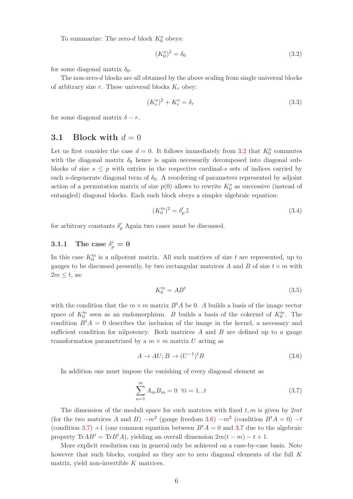To summarize: The zero-d block  $K_0^o$  obeys:

<span id="page-5-0"></span>
$$
(K_0^o)^2 = \delta_0 \tag{3.2}
$$

for some diagonal matrix  $\delta_0$ .

The non-zero-d blocks are all obtained by the above scaling from single universal blocks of arbitrary size r. These universal blocks  $K_r$  obey:

<span id="page-5-4"></span>
$$
(K_r^o)^2 + K_r^o = \delta_r \tag{3.3}
$$

for some diagonal matrix  $\delta - r$ .

### 3.1 Block with  $d = 0$

Let us first consider the case  $d = 0$ . It follows immediately from [3.2](#page-5-0) that  $K_0^o$  commutes with the diagonal matrix  $\delta_0$  hence is again necessarily decomposed into diagonal subblocks of size  $s \leq p$  with entries in the respective cardinal-s sets of indices carried by each s-degenerate diagonal term of  $\delta_0$ . A reordering of parameters represented by adjoint action of a permutation matrix of size  $p(0)$  allows to rewrite  $K_0^o$  as successive (instead of entangled) diagonal blocks. Each such block obeys a simpler algebraic equation:

<span id="page-5-3"></span>
$$
(K_0^{\prime o})^2 = \delta_p^{\prime}.\mathbb{I}
$$
\n
$$
(3.4)
$$

for arbitrary constants  $\delta'_p$  Again two cases must be discussed.

## 3.1.1 The case  $\delta_p' = 0$

In this case  $K_0^{\prime o}$  is a nilpotent matrix. All such matrices of size t are represented, up to gauges to be discussed presently, by two rectangular matrices A and B of size  $t \times m$  with  $2m \leq t$ , as:

$$
K_0^{\prime o} = AB^t \tag{3.5}
$$

with the condition that the  $m \times m$  matrix  $B<sup>t</sup>A$  be 0. A builds a basis of the image vector space of  $K_0^{\prime o}$  seen as an endomorphism. B builds a basis of the cokernel of  $K_0^{\prime o}$ . The condition  $B<sup>t</sup>A = 0$  describes the inclusion of the image in the kernel, a necessary and sufficient condition for nilpotency. Both matrices  $A$  and  $B$  are defined up to a gauge transformation parametrized by a  $m \times m$  matrix U acting as

<span id="page-5-1"></span>
$$
A \to AU; B \to (U^{-1})^t B \tag{3.6}
$$

In addition one must impose the vanishing of every diagonal element as

<span id="page-5-2"></span>
$$
\sum_{a=1}^{m} A_{ia} B_{ia} = 0 \ \forall i = 1...t
$$
 (3.7)

The dimension of the moduli space for such matrices with fixed  $t, m$  is given by  $2mt$ (for the two matrices A and B)  $-m^2$  (gauge freedom [3.6\)](#page-5-1)  $-m^2$  (condition  $B^tA = 0$ )  $-t$ (condition [3.7\)](#page-5-2) +1 (one common equation between  $B<sup>t</sup>A = 0$  and [3.7](#page-5-2) due to the algebraic property Tr $AB^t = \text{Tr}B^tA$ , yielding an overall dimension  $2m(t - m) - t + 1$ .

More explicit resolution can in general only be achieved on a case-by-case basis. Note however that such blocks, coupled as they are to zero diagonal elements of the full K matrix, yield non-invertible  $K$  matrices.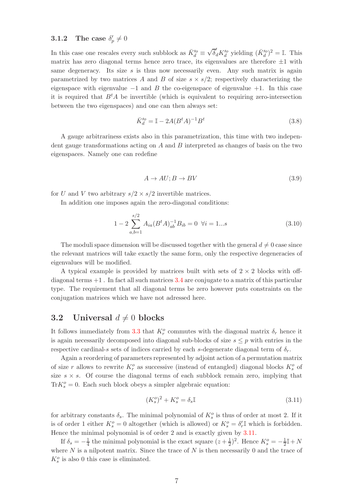# **3.1.2** The case  $\delta_p' \neq 0$

In this case one rescales every such subblock as  $\bar K'^o_d \equiv$  $\sqrt{\delta}_d' K_d^{\prime o}$  yielding  $(\bar{K}_d^{\prime o})^2 = \mathbb{I}$ . This matrix has zero diagonal terms hence zero trace, its eigenvalues are therefore  $\pm 1$  with same degeneracy. Its size s is thus now necessarily even. Any such matrix is again parametrized by two matrices A and B of size  $s \times s/2$ ; respectively characterizing the eigenspace with eigenvalue  $-1$  and B the co-eigenspace of eigenvalue  $+1$ . In this case it is required that  $B<sup>t</sup>A$  be invertible (which is equivalent to requiring zero-intersection between the two eigenspaces) and one can then always set:

$$
\bar{K}_d^{\prime o} = \mathbb{I} - 2A(B^t A)^{-1} B^t \tag{3.8}
$$

A gauge arbitrariness exists also in this parametrization, this time with two independent gauge transformations acting on  $A$  and  $B$  interpreted as changes of basis on the two eigenspaces. Namely one can redefine

$$
A \to AU; B \to BV \tag{3.9}
$$

for U and V two arbitrary  $s/2 \times s/2$  invertible matrices.

In addition one imposes again the zero-diagonal conditions:

$$
1 - 2\sum_{a,b=1}^{s/2} A_{ia} (B^t A)_{ab}^{-1} B_{ib} = 0 \quad \forall i = 1...s
$$
 (3.10)

The moduli space dimension will be discussed together with the general  $d \neq 0$  case since the relevant matrices will take exactly the same form, only the respective degeneracies of eigenvalues will be modified.

A typical example is provided by matrices built with sets of  $2 \times 2$  blocks with offdiagonal terms  $+1$ . In fact all such matrices [3.4](#page-5-3) are conjugate to a matrix of this particular type. The requirement that all diagonal terms be zero however puts constraints on the conjugation matrices which we have not adressed here.

### 3.2 Universal  $d \neq 0$  blocks

It follows immediately from [3.3](#page-5-4) that  $K_r^o$  commutes with the diagonal matrix  $\delta_r$  hence it is again necessarily decomposed into diagonal sub-blocks of size  $s \leq p$  with entries in the respective cardinal-s sets of indices carried by each s-degenerate diagonal term of  $\delta_r$ .

Again a reordering of parameters represented by adjoint action of a permutation matrix of size r allows to rewrite  $K_r^o$  as successive (instead of entangled) diagonal blocks  $K_s^o$  of size  $s \times s$ . Of course the diagonal terms of each subblock remain zero, implying that  $\text{Tr}K^o_s = 0$ . Each such block obeys a simpler algebraic equation:

<span id="page-6-0"></span>
$$
(K_s^o)^2 + K_s^o = \delta_s \mathbb{I}
$$
\n(3.11)

for arbitrary constants  $\delta_s$ . The minimal polynomial of  $K_s^o$  is thus of order at most 2. If it is of order 1 either  $K_s^o = 0$  altogether (which is allowed) or  $K_s^o = \delta'_r$  which is forbidden. Hence the minimal polynomial is of order 2 and is exactly given by [3.11.](#page-6-0)

If  $\delta_s = -\frac{1}{4}$  $\frac{1}{4}$  the minimal polynomial is the exact square  $(z + \frac{1}{2})$  $(\frac{1}{2})^2$ . Hence  $K_s^o = -\frac{1}{2}$  $\frac{1}{2}$ I + N where  $N$  is a nilpotent matrix. Since the trace of  $N$  is then necessarily 0 and the trace of  $K_s^o$  is also 0 this case is eliminated.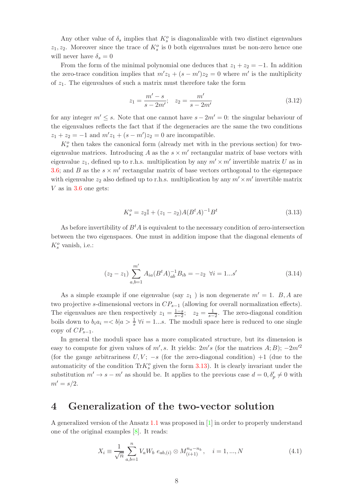Any other value of  $\delta_s$  implies that  $K_s^o$  is diagonalizable with two distinct eigenvalues  $z_1, z_2$ . Moreover since the trace of  $K_s^o$  is 0 both eigenvalues must be non-zero hence one will never have  $\delta_s = 0$ 

From the form of the minimal polynomial one deduces that  $z_1 + z_2 = -1$ . In addition the zero-trace condition implies that  $m'z_1 + (s - m')z_2 = 0$  where m' is the multiplicity of  $z_1$ . The eigenvalues of such a matrix must therefore take the form

$$
z_1 = \frac{m' - s}{s - 2m'}; \quad z_2 = \frac{m'}{s - 2m'}\tag{3.12}
$$

for any integer  $m' \leq s$ . Note that one cannot have  $s - 2m' = 0$ : the singular behaviour of the eigenvalues reflects the fact that if the degeneracies are the same the two conditions  $z_1 + z_2 = -1$  and  $m'z_1 + (s - m')z_2 = 0$  are incompatible.

 $K_s^o$  then takes the canonical form (already met with in the previous section) for twoeigenvalue matrices. Introducing  $A$  as the  $s \times m'$  rectangular matrix of base vectors with eigenvalue  $z_1$ , defined up to r.h.s. multiplication by any  $m' \times m'$  invertible matrix U as in [3.6;](#page-5-1) and B as the  $s \times m'$  rectangular matrix of base vectors orthogonal to the eigenspace with eigenvalue  $z_2$  also defined up to r.h.s. multiplication by any  $m' \times m'$  invertible matrix  $V$  as in [3.6](#page-5-1) one gets:

<span id="page-7-0"></span>
$$
K_s^o = z_2 \mathbb{I} + (z_1 - z_2) A (B^t A)^{-1} B^t
$$
\n(3.13)

As before invertibility of  $B<sup>t</sup>A$  is equivalent to the necessary condition of zero-intersection between the two eigenspaces. One must in addition impose that the diagonal elements of  $K_s^o$  vanish, i.e.:

$$
(z_2 - z_1) \sum_{a,b=1}^{m'} A_{ia} (B^t A)_{ab}^{-1} B_{ib} = -z_2 \quad \forall i = 1...s'
$$
 (3.14)

As a simple example if one eigenvalue (say  $z_1$ ) is non degenerate  $m' = 1$ . B, A are two projective s-dimensional vectors in  $CP_{s-1}$  (allowing for overall normalization effects). The eigenvalues are then respectively  $z_1 = \frac{1-s}{s-2}$ ;  $z_2 = \frac{1}{s-2}$ . The zero-diagonal condition boils down to  $b_i a_i = \langle b | a \rangle \frac{1}{s} \forall i = 1...s$ . The moduli space here is reduced to one single copy of  $CP_{s-1}$ .

In general the moduli space has a more complicated structure, but its dimension is easy to compute for given values of  $m'$ , s. It yields:  $2m's$  (for the matrices  $A;B$ );  $-2m'^2$ (for the gauge arbitrariness  $U, V; -s$  (for the zero-diagonal condition) +1 (due to the automaticity of the condition  $\text{Tr}K^o_s$  given the form [3.13\)](#page-7-0). It is clearly invariant under the substitution  $m' \to s - m'$  as should be. It applies to the previous case  $d = 0, \delta'_p \neq 0$  with  $m' = s/2.$ 

### 4 Generalization of the two-vector solution

A generalized version of the Ansatz [1.1](#page-1-0) was proposed in [\[1\]](#page-8-0) in order to properly understand one of the original examples [\[8\]](#page-8-2). It reads:

<span id="page-7-1"></span>
$$
X_i \equiv \frac{1}{\sqrt{n}} \sum_{a,b=1}^n V_a W_b \ e_{ab,(i)} \otimes M_{(i+1)}^{n_a - n_b}, \quad i = 1, ..., N
$$
 (4.1)